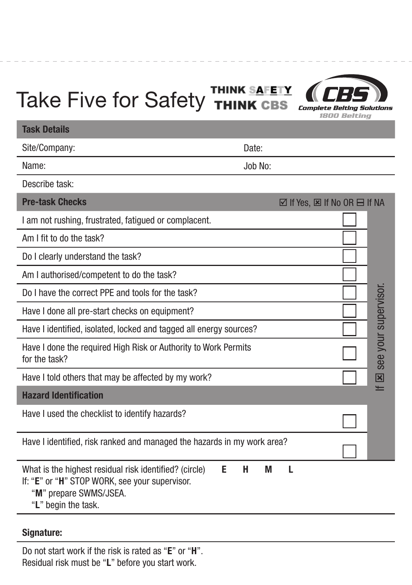## Take Five for Safety THINK SAFETY **(CBS)**



## Task Details

Site/Company:

Name:

Describe task:

| <b>Pre-task Checks</b>                                                                                                                            | $\boxtimes$ If Yes, $\boxtimes$ If No OR $\boxminus$ If NA |
|---------------------------------------------------------------------------------------------------------------------------------------------------|------------------------------------------------------------|
| I am not rushing, frustrated, fatigued or complacent.                                                                                             |                                                            |
| Am I fit to do the task?                                                                                                                          |                                                            |
| Do I clearly understand the task?                                                                                                                 |                                                            |
| Am I authorised/competent to do the task?                                                                                                         |                                                            |
| Do I have the correct PPF and tools for the task?                                                                                                 |                                                            |
| Have I done all pre-start checks on equipment?                                                                                                    |                                                            |
| Have I identified, isolated, locked and tagged all energy sources?                                                                                |                                                            |
| Have I done the required High Risk or Authority to Work Permits<br>for the task?                                                                  | see your supervisor                                        |
| Have I told others that may be affected by my work?                                                                                               | 図                                                          |
| <b>Hazard Identification</b>                                                                                                                      |                                                            |
| Have I used the checklist to identify hazards?                                                                                                    |                                                            |
| Have I identified, risk ranked and managed the hazards in my work area?                                                                           |                                                            |
| What is the highest residual risk identified? (circle)<br>Е<br>н<br>M<br>If: "E" or "H" STOP WORK, see your supervisor.<br>"M" prepare SWMS/JSEA. | п                                                          |

Date:

Job No:

'L" begin the task.

## Signature:

Do not start work if the risk is rated as "E" or "H". Residual risk must be "L" before you start work.